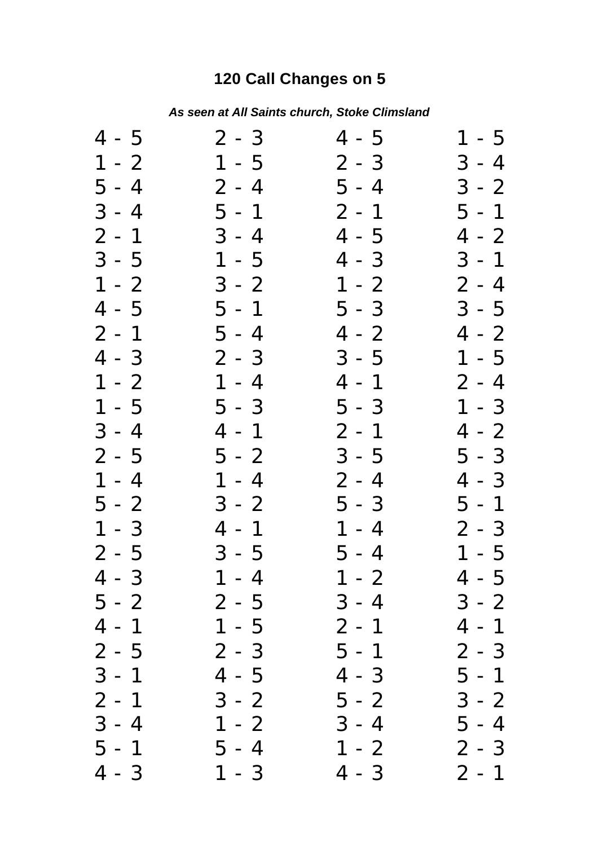## **120 Call Changes on 5**

| As seen at All Saints church, Stoke Climsland |  |
|-----------------------------------------------|--|
|                                               |  |

| 4 - 5     | $2 - 3$ | 4 - 5   | 1 - 5   |
|-----------|---------|---------|---------|
| $1 - 2$   | $1 - 5$ | $2 - 3$ | $3 - 4$ |
| $5 - 4$   | $2 - 4$ | $5 - 4$ | $3 - 2$ |
| $3 - 4$   | $5 - 1$ | 2 - 1   | $5 - 1$ |
| $2 - 1$   | $3 - 4$ | $4 - 5$ | 4 - 2   |
| $3 - 5$   | $1 - 5$ | 4 - 3   | $3 - 1$ |
| $1 - 2$   | $3 - 2$ | $1 - 2$ | $2 - 4$ |
| 4 - 5     | $5 - 1$ | $5 - 3$ | $3 - 5$ |
| $2 - 1$   | $5 - 4$ | $4 - 2$ | 4 - 2   |
| 4 - 3     | $2 - 3$ | $3 - 5$ | $1 - 5$ |
| $1 - 2$   | $1 - 4$ | 4 - 1   | $2 - 4$ |
| $1 - 5$   | $5 - 3$ | $5 - 3$ | $1 - 3$ |
| $3 - 4$   | 4 - 1   | $2 - 1$ | 4 - 2   |
| 2 - 5     | 5 - 2   | $3 - 5$ | 5 - 3   |
| $1 - 4$   | $1 - 4$ | 2 - 4   | 4 - 3   |
| 5 - 2     | $3 - 2$ | $5 - 3$ | 5 - 1   |
| $1 - 3$   | $4 - 1$ | $1 - 4$ | 2 - 3   |
| $2 - 5$   | $3 - 5$ | 5 - 4   | $1 - 5$ |
| $4 - 3$   | $1 - 4$ | $1 - 2$ | $4 - 5$ |
| $5 - 2$   | 2 - 5   | 3 - 4   | $3 - 2$ |
| 4<br>$-1$ | $1 - 5$ | 2 - 1   | 4 - 1   |
| $2 - 5$   | $2 - 3$ | 5 - 1   | $2 - 3$ |
| $3 - 1$   | $4 - 5$ | 4 - 3   | 5 - 1   |
| $2 - 1$   | $3 - 2$ | $5 - 2$ | $3 - 2$ |
| $3 - 4$   | $1 - 2$ | $3 - 4$ | 5 - 4   |
| 5<br>$-1$ | $5 - 4$ | $1 - 2$ | 2 - 3   |
| $4 - 3$   | $1 - 3$ | $4 - 3$ | $2 - 1$ |